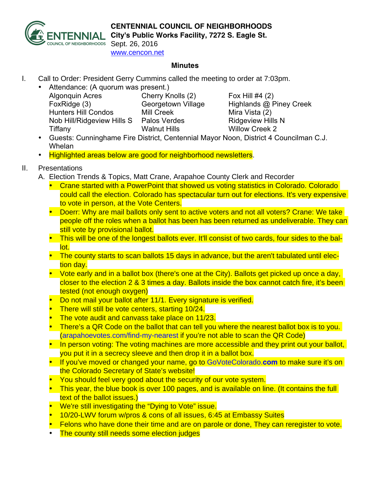

## **CENTENNIAL COUNCIL OF NEIGHBORHOODS**

**City's Public Works Facility, 7272 S. Eagle St.**

Sept. 26, 2016 www.cencon.net

## **Minutes**

I. Call to Order: President Gerry Cummins called the meeting to order at 7:03pm.

| $\bullet$ | Attendance: (A quorum was present.) |                     |
|-----------|-------------------------------------|---------------------|
|           | <b>Algonquin Acres</b>              | Cherry Knolls (2    |
|           | FoxRidge (3)                        | Georgetown Vil      |
|           | <b>Hunters Hill Condos</b>          | <b>Mill Creek</b>   |
|           | Nob Hill/Ridgeview Hills S          | <b>Palos Verdes</b> |
|           | Tiffany                             | <b>Walnut Hills</b> |
|           |                                     |                     |

 $(2)$  Fox Hill #4  $(2)$ Ilage Highlands @ Piney Creek Mira Vista (2) Ridgeview Hills N Willow Creek 2

- Guests: Cunninghame Fire District, Centennial Mayor Noon, District 4 Councilman C.J. Whelan
- Highlighted areas below are good for neighborhood newsletters.
- II. Presentations
	- A. Election Trends & Topics, Matt Crane, Arapahoe County Clerk and Recorder
		- Crane started with a PowerPoint that showed us voting statistics in Colorado. Colorado could call the election. Colorado has spectacular turn out for elections. It's very expensive to vote in person, at the Vote Centers.
		- Doerr: Why are mail ballots only sent to active voters and not all voters? Crane: We take people off the roles when a ballot has been has been returned as undeliverable. They can still vote by provisional ballot.
		- This will be one of the longest ballots ever. It'll consist of two cards, four sides to the ballot.
		- The county starts to scan ballots 15 days in advance, but the aren't tabulated until election day.
		- Vote early and in a ballot box (there's one at the City). Ballots get picked up once a day, closer to the election 2 & 3 times a day. Ballots inside the box cannot catch fire, it's been tested (not enough oxygen)
		- Do not mail your ballot after 11/1. Every signature is verified.
		- There will still be vote centers, starting 10/24.
		- The vote audit and canvass take place on 11/23.
		- There's a QR Code on the ballot that can tell you where the nearest ballot box is to you. (arapahoevotes.com/find-my-nearest if you're not able to scan the QR Code)
		- In person voting: The voting machines are more accessible and they print out your ballot, you put it in a secrecy sleeve and then drop it in a ballot box.
		- If you've moved or changed your name, go to GoVoteColorado.**com** to make sure it's on the Colorado Secretary of State's website!
		- You should feel very good about the security of our vote system.
		- This year, the blue book is over 100 pages, and is available on line. (It contains the full text of the ballot issues.)
		- We're still investigating the "Dying to Vote" issue.
		- 10/20-LWV forum w/pros & cons of all issues, 6:45 at Embassy Suites
		- Felons who have done their time and are on parole or done, They can reregister to vote.
		- The county still needs some election judges